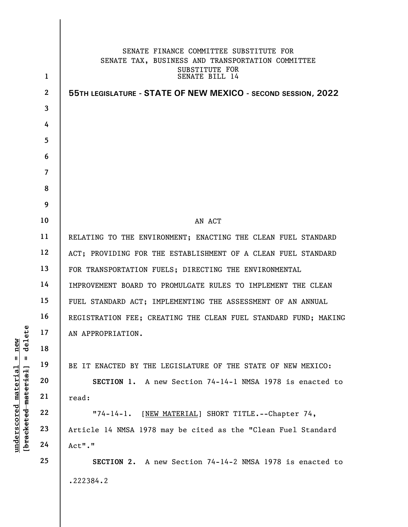|                      |                | SENATE FINANCE COMMITTEE SUBSTITUTE FOR<br>SENATE TAX, BUSINESS AND TRANSPORTATION COMMITTEE |
|----------------------|----------------|----------------------------------------------------------------------------------------------|
|                      | $\mathbf{1}$   | SUBSTITUTE FOR<br>SENATE BILL 14                                                             |
|                      | $\mathbf{2}$   | 55TH LEGISLATURE - STATE OF NEW MEXICO - SECOND SESSION, 2022                                |
|                      | 3              |                                                                                              |
|                      | 4              |                                                                                              |
|                      | 5              |                                                                                              |
|                      | 6              |                                                                                              |
|                      | $\overline{7}$ |                                                                                              |
|                      | 8              |                                                                                              |
|                      | 9              |                                                                                              |
|                      | 10             | AN ACT                                                                                       |
|                      | 11             | RELATING TO THE ENVIRONMENT; ENACTING THE CLEAN FUEL STANDARD                                |
|                      | 12             | ACT; PROVIDING FOR THE ESTABLISHMENT OF A CLEAN FUEL STANDARD                                |
|                      | 13             | FOR TRANSPORTATION FUELS; DIRECTING THE ENVIRONMENTAL                                        |
|                      | 14             | IMPROVEMENT BOARD TO PROMULGATE RULES TO IMPLEMENT THE CLEAN                                 |
|                      | 15             | FUEL STANDARD ACT; IMPLEMENTING THE ASSESSMENT OF AN ANNUAL                                  |
|                      | 16             | REGISTRATION FEE; CREATING THE CLEAN FUEL STANDARD FUND; MAKING                              |
| ete<br>⊫ ו≲          | 17             | AN APPROPRIATION.                                                                            |
| nev<br>$\mathbf{a}$  | 18             |                                                                                              |
| Ш<br>H               | 19             | BE IT ENACTED BY THE LEGISLATURE OF THE STATE OF NEW MEXICO:                                 |
| [bracketed material  | 20             | SECTION 1. A new Section 74-14-1 NMSA 1978 is enacted to                                     |
| underscored material | 21             | read:                                                                                        |
|                      | 22             | "74-14-1. [NEW MATERIAL] SHORT TITLE.--Chapter 74,                                           |
|                      | 23             | Article 14 NMSA 1978 may be cited as the "Clean Fuel Standard                                |
|                      | 24             | Act"."                                                                                       |
|                      | 25             | SECTION 2. A new Section 74-14-2 NMSA 1978 is enacted to                                     |
|                      |                | .222384.2                                                                                    |
|                      |                |                                                                                              |

 $\overline{\phantom{a}}$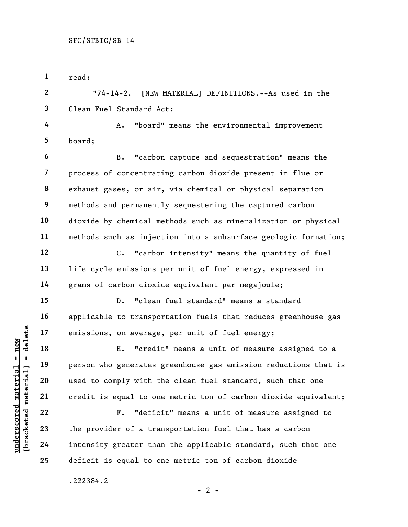|                                             | $\mathbf{1}$   | read:                                                           |
|---------------------------------------------|----------------|-----------------------------------------------------------------|
|                                             | $\mathbf{2}$   | $"74-14-2.$<br>[NEW MATERIAL] DEFINITIONS.--As used in the      |
|                                             | 3              | Clean Fuel Standard Act:                                        |
|                                             | 4              | "board" means the environmental improvement<br>A.               |
|                                             | 5              | board;                                                          |
|                                             | 6              | "carbon capture and sequestration" means the<br><b>B.</b>       |
|                                             | $\overline{7}$ | process of concentrating carbon dioxide present in flue or      |
|                                             | 8              | exhaust gases, or air, via chemical or physical separation      |
|                                             | 9              | methods and permanently sequestering the captured carbon        |
|                                             | 10             | dioxide by chemical methods such as mineralization or physical  |
|                                             | 11             | methods such as injection into a subsurface geologic formation; |
|                                             | 12             | "carbon intensity" means the quantity of fuel<br>$C$ .          |
|                                             | 13             | life cycle emissions per unit of fuel energy, expressed in      |
|                                             | 14             | grams of carbon dioxide equivalent per megajoule;               |
|                                             | 15             | "clean fuel standard" means a standard<br>$D$ .                 |
|                                             | 16             | applicable to transportation fuels that reduces greenhouse gas  |
| delete                                      | 17             | emissions, on average, per unit of fuel energy;                 |
| $n$ ew                                      | 18             | "credit" means a unit of measure assigned to a<br>Ε.            |
| Ш<br>H                                      | 19             | person who generates greenhouse gas emission reductions that is |
|                                             | 20             | used to comply with the clean fuel standard, such that one      |
| underscored material<br>[bracketed material | 21             | credit is equal to one metric ton of carbon dioxide equivalent; |
|                                             | 22             | "deficit" means a unit of measure assigned to<br>$F$ .          |
|                                             | 23             | the provider of a transportation fuel that has a carbon         |
|                                             | 24             | intensity greater than the applicable standard, such that one   |
|                                             | 25             | deficit is equal to one metric ton of carbon dioxide            |
|                                             |                | .222384.2                                                       |
|                                             |                | $-2$ -                                                          |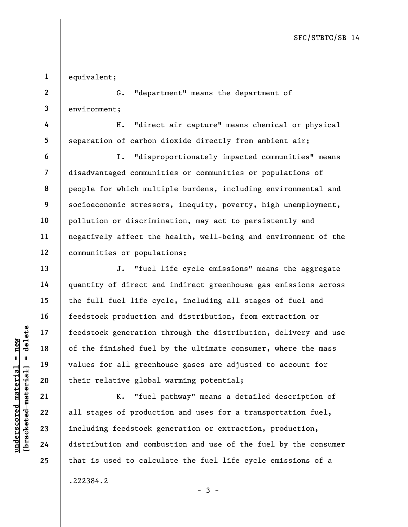1 equivalent;

4

5

6

7

8

9

10

11

12

13

14

15

16

17

18

19

20

21

22

23

24

25

2 3 G. "department" means the department of environment;

H. "direct air capture" means chemical or physical separation of carbon dioxide directly from ambient air;

I. "disproportionately impacted communities" means disadvantaged communities or communities or populations of people for which multiple burdens, including environmental and socioeconomic stressors, inequity, poverty, high unemployment, pollution or discrimination, may act to persistently and negatively affect the health, well-being and environment of the communities or populations;

underscore of the finished fuel<br>
walues for all greenh<br>
underscore and their relative global<br>
walues for all greenh<br>
their relative global<br>
Englished 21<br>
23<br>
including feedstock g<br>
24<br>
distribution and comb J. "fuel life cycle emissions" means the aggregate quantity of direct and indirect greenhouse gas emissions across the full fuel life cycle, including all stages of fuel and feedstock production and distribution, from extraction or feedstock generation through the distribution, delivery and use of the finished fuel by the ultimate consumer, where the mass values for all greenhouse gases are adjusted to account for their relative global warming potential;

K. "fuel pathway" means a detailed description of all stages of production and uses for a transportation fuel, including feedstock generation or extraction, production, distribution and combustion and use of the fuel by the consumer that is used to calculate the fuel life cycle emissions of a

.222384.2

- 3 -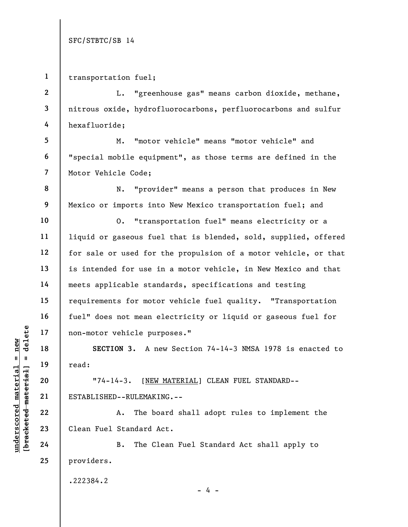1 transportation fuel;

2 3 4 L. "greenhouse gas" means carbon dioxide, methane, nitrous oxide, hydrofluorocarbons, perfluorocarbons and sulfur hexafluoride;

 M. "motor vehicle" means "motor vehicle" and "special mobile equipment", as those terms are defined in the Motor Vehicle Code;

N. "provider" means a person that produces in New Mexico or imports into New Mexico transportation fuel; and

O. "transportation fuel" means electricity or a liquid or gaseous fuel that is blended, sold, supplied, offered for sale or used for the propulsion of a motor vehicle, or that is intended for use in a motor vehicle, in New Mexico and that meets applicable standards, specifications and testing requirements for motor vehicle fuel quality. "Transportation fuel" does not mean electricity or liquid or gaseous fuel for non-motor vehicle purposes."

SECTION 3. A new Section 74-14-3 NMSA 1978 is enacted to read:

underscored material material end of the section of the section of the section of the section of the section of the section of the section of the section of the section of the section of the section of the section of the s "74-14-3. [NEW MATERIAL] CLEAN FUEL STANDARD-- ESTABLISHED--RULEMAKING.--

A. The board shall adopt rules to implement the Clean Fuel Standard Act.

B. The Clean Fuel Standard Act shall apply to providers.

.222384.2

25

5

6

7

8

9

10

11

12

13

14

15

16

17

18

19

20

 $- 4 -$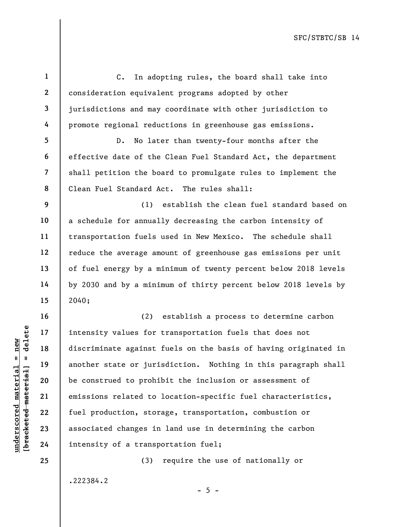underscored material = new [bracketed material] = delete 1 2 3 4 5 6 7 8 9 10 11 12 13 14 15 16 17 18 19 20 21 22 23 24 25 C. In adopting rules, the board shall take into consideration equivalent programs adopted by other jurisdictions and may coordinate with other jurisdiction to promote regional reductions in greenhouse gas emissions. D. No later than twenty-four months after the effective date of the Clean Fuel Standard Act, the department shall petition the board to promulgate rules to implement the Clean Fuel Standard Act. The rules shall: (1) establish the clean fuel standard based on a schedule for annually decreasing the carbon intensity of transportation fuels used in New Mexico. The schedule shall reduce the average amount of greenhouse gas emissions per unit of fuel energy by a minimum of twenty percent below 2018 levels by 2030 and by a minimum of thirty percent below 2018 levels by 2040; (2) establish a process to determine carbon intensity values for transportation fuels that does not discriminate against fuels on the basis of having originated in another state or jurisdiction. Nothing in this paragraph shall be construed to prohibit the inclusion or assessment of emissions related to location-specific fuel characteristics, fuel production, storage, transportation, combustion or associated changes in land use in determining the carbon intensity of a transportation fuel; (3) require the use of nationally or

.222384.2

 $- 5 -$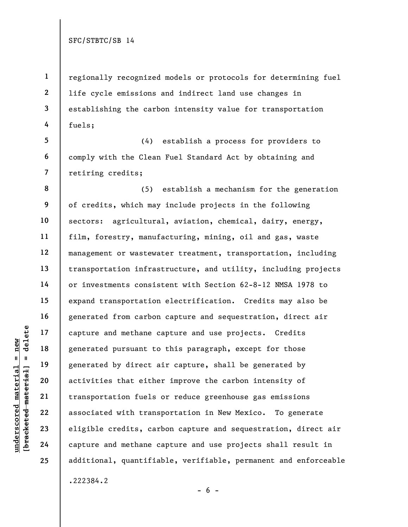1 2 3 4 regionally recognized models or protocols for determining fuel life cycle emissions and indirect land use changes in establishing the carbon intensity value for transportation fuels;

5 6 7 (4) establish a process for providers to comply with the Clean Fuel Standard Act by obtaining and retiring credits;

underscored material = new [bracketed material] = delete 8 9 10 11 12 13 14 15 16 17 18 19 20 21 22 23 24 25 (5) establish a mechanism for the generation of credits, which may include projects in the following sectors: agricultural, aviation, chemical, dairy, energy, film, forestry, manufacturing, mining, oil and gas, waste management or wastewater treatment, transportation, including transportation infrastructure, and utility, including projects or investments consistent with Section 62-8-12 NMSA 1978 to expand transportation electrification. Credits may also be generated from carbon capture and sequestration, direct air capture and methane capture and use projects. Credits generated pursuant to this paragraph, except for those generated by direct air capture, shall be generated by activities that either improve the carbon intensity of transportation fuels or reduce greenhouse gas emissions associated with transportation in New Mexico. To generate eligible credits, carbon capture and sequestration, direct air capture and methane capture and use projects shall result in additional, quantifiable, verifiable, permanent and enforceable .222384.2

 $- 6 -$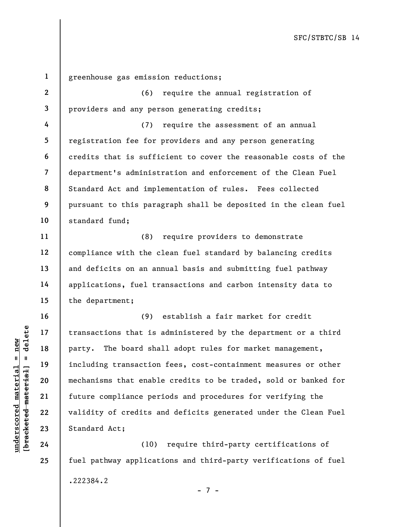underscored material = new [bracketed material] = delete 1 2 3 4 5 6 7 8 9 10 11 12 13 14 15 16 17 18 19 20 21 22 23 greenhouse gas emission reductions; (6) require the annual registration of providers and any person generating credits; (7) require the assessment of an annual registration fee for providers and any person generating credits that is sufficient to cover the reasonable costs of the department's administration and enforcement of the Clean Fuel Standard Act and implementation of rules. Fees collected pursuant to this paragraph shall be deposited in the clean fuel standard fund; (8) require providers to demonstrate compliance with the clean fuel standard by balancing credits and deficits on an annual basis and submitting fuel pathway applications, fuel transactions and carbon intensity data to the department; (9) establish a fair market for credit transactions that is administered by the department or a third party. The board shall adopt rules for market management, including transaction fees, cost-containment measures or other mechanisms that enable credits to be traded, sold or banked for future compliance periods and procedures for verifying the validity of credits and deficits generated under the Clean Fuel Standard Act;

(10) require third-party certifications of fuel pathway applications and third-party verifications of fuel .222384.2 - 7 -

24

25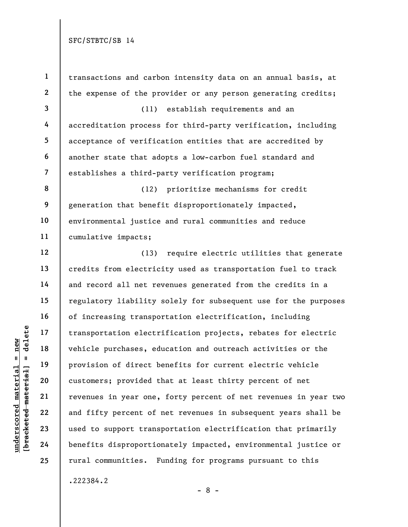underscored material = new [bracketed material] = delete 1 2 3 4 5 6 7 8 9 10 11 12 13 14 15 16 17 18 19 20 21 22 23 24 25 transactions and carbon intensity data on an annual basis, at the expense of the provider or any person generating credits; (11) establish requirements and an accreditation process for third-party verification, including acceptance of verification entities that are accredited by another state that adopts a low-carbon fuel standard and establishes a third-party verification program; (12) prioritize mechanisms for credit generation that benefit disproportionately impacted, environmental justice and rural communities and reduce cumulative impacts; (13) require electric utilities that generate credits from electricity used as transportation fuel to track and record all net revenues generated from the credits in a regulatory liability solely for subsequent use for the purposes of increasing transportation electrification, including transportation electrification projects, rebates for electric vehicle purchases, education and outreach activities or the provision of direct benefits for current electric vehicle customers; provided that at least thirty percent of net revenues in year one, forty percent of net revenues in year two and fifty percent of net revenues in subsequent years shall be used to support transportation electrification that primarily benefits disproportionately impacted, environmental justice or rural communities. Funding for programs pursuant to this

.222384.2

- 8 -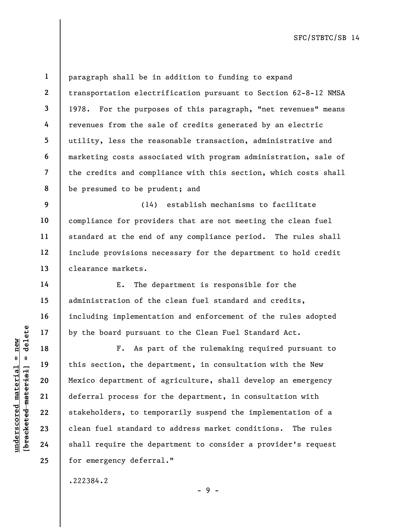2 3

4

5

6

7

14

15

16

17

18

19

20

21

22

23

24

25

1

8 paragraph shall be in addition to funding to expand transportation electrification pursuant to Section 62-8-12 NMSA 1978. For the purposes of this paragraph, "net revenues" means revenues from the sale of credits generated by an electric utility, less the reasonable transaction, administrative and marketing costs associated with program administration, sale of the credits and compliance with this section, which costs shall be presumed to be prudent; and

9 10 11 12 13 (14) establish mechanisms to facilitate compliance for providers that are not meeting the clean fuel standard at the end of any compliance period. The rules shall include provisions necessary for the department to hold credit clearance markets.

E. The department is responsible for the administration of the clean fuel standard and credits, including implementation and enforcement of the rules adopted by the board pursuant to the Clean Fuel Standard Act.

underscored material = new [bracketed material] = delete F. As part of the rulemaking required pursuant to this section, the department, in consultation with the New Mexico department of agriculture, shall develop an emergency deferral process for the department, in consultation with stakeholders, to temporarily suspend the implementation of a clean fuel standard to address market conditions. The rules shall require the department to consider a provider's request for emergency deferral."

- 9 -

.222384.2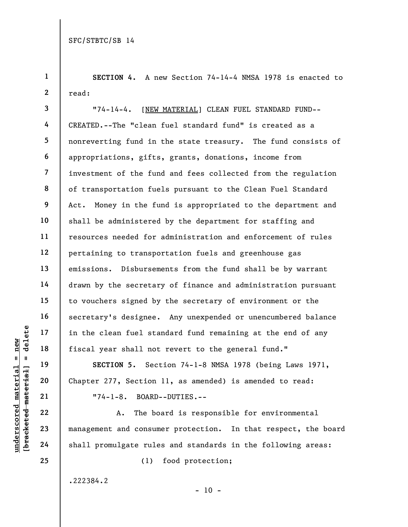4

6

10

11

13

14

15

16

17

19

20

21

22

23

24

25

1 2 SECTION 4. A new Section 74-14-4 NMSA 1978 is enacted to read:

3 5 7 8 9 12 18 "74-14-4. [NEW MATERIAL] CLEAN FUEL STANDARD FUND-- CREATED.--The "clean fuel standard fund" is created as a nonreverting fund in the state treasury. The fund consists of appropriations, gifts, grants, donations, income from investment of the fund and fees collected from the regulation of transportation fuels pursuant to the Clean Fuel Standard Act. Money in the fund is appropriated to the department and shall be administered by the department for staffing and resources needed for administration and enforcement of rules pertaining to transportation fuels and greenhouse gas emissions. Disbursements from the fund shall be by warrant drawn by the secretary of finance and administration pursuant to vouchers signed by the secretary of environment or the secretary's designee. Any unexpended or unencumbered balance in the clean fuel standard fund remaining at the end of any fiscal year shall not revert to the general fund."

SECTION 5. Section 74-1-8 NMSA 1978 (being Laws 1971, Chapter 277, Section 11, as amended) is amended to read: "74-1-8. BOARD--DUTIES.--

underscored material states of the clean fuel states of the clean fuel states of the clean fuel states of the second material consumer that the book of the clean states of the chapter 277, Section  $\begin{array}{c|ccc}\n\text{u} & \text{u} & \text$ A. The board is responsible for environmental management and consumer protection. In that respect, the board shall promulgate rules and standards in the following areas:

 $- 10 -$ 

(1) food protection;

.222384.2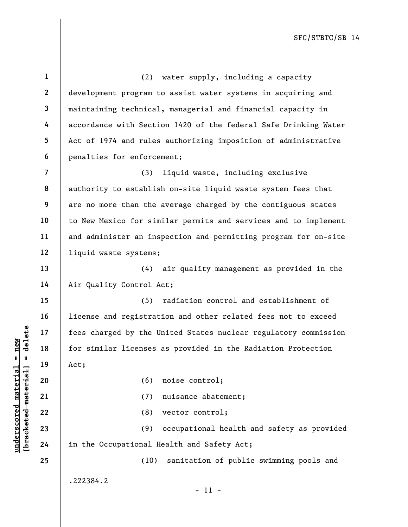underscored material material of the distributions of the distributions of the distributions of the distributions of the distributions of the distributions of the distributions of the distributions of the distributions of 1 2 3 4 5 6 7 8 9 10 11 12 13 14 15 16 17 18 19 20 21 22 23 24 25 (2) water supply, including a capacity development program to assist water systems in acquiring and maintaining technical, managerial and financial capacity in accordance with Section 1420 of the federal Safe Drinking Water Act of 1974 and rules authorizing imposition of administrative penalties for enforcement; (3) liquid waste, including exclusive authority to establish on-site liquid waste system fees that are no more than the average charged by the contiguous states to New Mexico for similar permits and services and to implement and administer an inspection and permitting program for on-site liquid waste systems; (4) air quality management as provided in the Air Quality Control Act; (5) radiation control and establishment of license and registration and other related fees not to exceed fees charged by the United States nuclear regulatory commission for similar licenses as provided in the Radiation Protection Act; (6) noise control; (7) nuisance abatement; (8) vector control; (9) occupational health and safety as provided in the Occupational Health and Safety Act; (10) sanitation of public swimming pools and .222384.2 - 11 -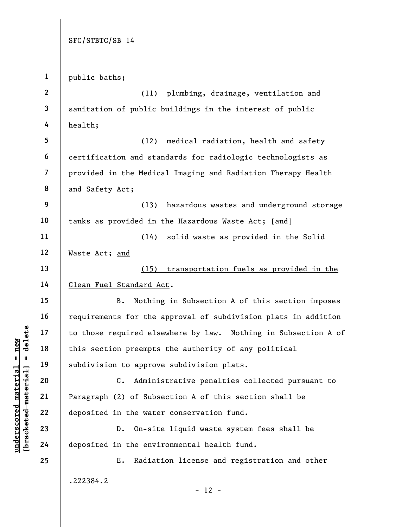underscored material = new [bracketed material] = delete 1 2 3 4 5 6 7 8 9 10 11 12 13 14 15 16 17 18 19 20 21 22 23 24 25 public baths; (11) plumbing, drainage, ventilation and sanitation of public buildings in the interest of public health; (12) medical radiation, health and safety certification and standards for radiologic technologists as provided in the Medical Imaging and Radiation Therapy Health and Safety Act; (13) hazardous wastes and underground storage tanks as provided in the Hazardous Waste Act; [and] (14) solid waste as provided in the Solid Waste Act; and (15) transportation fuels as provided in the Clean Fuel Standard Act. B. Nothing in Subsection A of this section imposes requirements for the approval of subdivision plats in addition to those required elsewhere by law. Nothing in Subsection A of this section preempts the authority of any political subdivision to approve subdivision plats. C. Administrative penalties collected pursuant to Paragraph (2) of Subsection A of this section shall be deposited in the water conservation fund. D. On-site liquid waste system fees shall be deposited in the environmental health fund. E. Radiation license and registration and other .222384.2  $- 12 -$